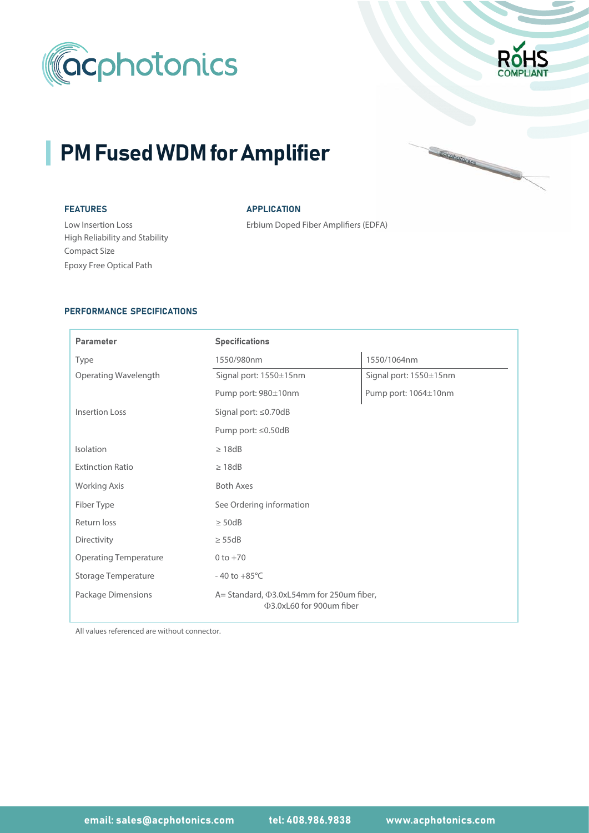



Cocohotonics

# PM Fused WDM for Amplifier

# FEATURES

Low Insertion Loss High Reliability and Stability Compact Size FA)Epoxy Free Optical Path

# **APPLICATION**

Erbium Doped Fiber Amplifiers (EDFA)

# PERFORMANCE SPECIFICATIONS

| <b>Parameter</b>             | <b>Specifications</b>                                                      |                        |  |  |  |  |  |
|------------------------------|----------------------------------------------------------------------------|------------------------|--|--|--|--|--|
| Type                         | 1550/980nm                                                                 | 1550/1064nm            |  |  |  |  |  |
| Operating Wavelength         | Signal port: 1550±15nm                                                     | Signal port: 1550±15nm |  |  |  |  |  |
|                              | Pump port: 980±10nm                                                        | Pump port: 1064±10nm   |  |  |  |  |  |
| Insertion Loss               | Signal port: ≤0.70dB                                                       |                        |  |  |  |  |  |
|                              | Pump port: ≤0.50dB                                                         |                        |  |  |  |  |  |
| Isolation                    | $\geq 18$ dB                                                               |                        |  |  |  |  |  |
| <b>Extinction Ratio</b>      | $\geq 18$ dB                                                               |                        |  |  |  |  |  |
| <b>Working Axis</b>          | <b>Both Axes</b>                                                           |                        |  |  |  |  |  |
| Fiber Type                   | See Ordering information                                                   |                        |  |  |  |  |  |
| Return loss                  | $\geq$ 50dB                                                                |                        |  |  |  |  |  |
| Directivity                  | $\geq$ 55dB                                                                |                        |  |  |  |  |  |
| <b>Operating Temperature</b> | $0 to +70$                                                                 |                        |  |  |  |  |  |
| <b>Storage Temperature</b>   | $-40$ to $+85^{\circ}$ C                                                   |                        |  |  |  |  |  |
| Package Dimensions           | A= Standard, $\Phi$ 3.0xL54mm for 250um fiber,<br>Φ3.0xL60 for 900um fiber |                        |  |  |  |  |  |

All values referenced are without connector.